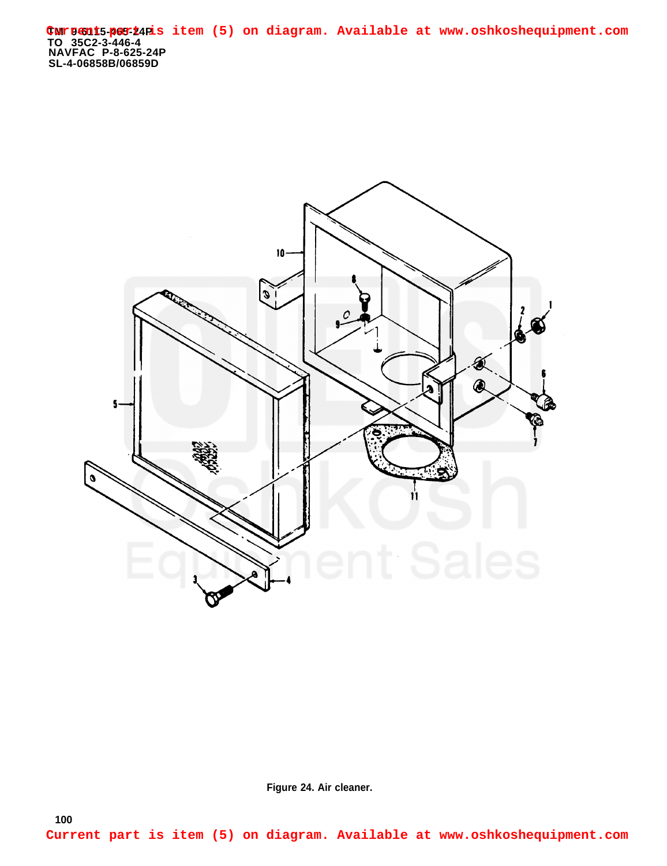**TM 9-6115-465-24P TO 35C2-3-446-4 NAVFAC P-8-625-24P SL-4-06858B/06859D Current part is item (5) on diagram. Available at www.oshkoshequipment.com**



**Figure 24. Air cleaner.**

**100**

**Current part is item (5) on diagram. Available at www.oshkoshequipment.com**